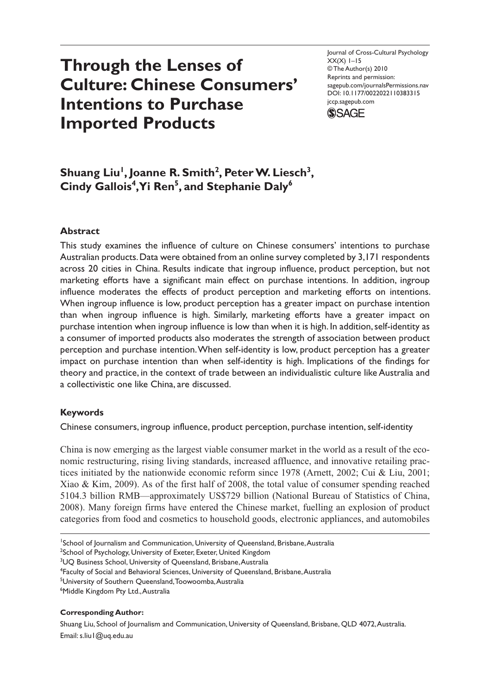# **Through the Lenses of Culture: Chinese Consumers' Intentions to Purchase Imported Products**

Journal of Cross-Cultural Psychology XX(X) 1–15 © The Author(s) 2010 Reprints and permission: sagepub.com/journalsPermissions.nav DOI: 10.1177/0022022110383315 jccp.sagepub.com



## **Shuang Liu<sup>1</sup>, Joanne R. Smith<sup>2</sup>, Peter W. Liesch<sup>3</sup>,** Cindy Gallois<sup>4</sup>, Yi Ren<sup>5</sup>, and Stephanie Daly<sup>6</sup>

## **Abstract**

This study examines the influence of culture on Chinese consumers' intentions to purchase Australian products. Data were obtained from an online survey completed by 3,171 respondents across 20 cities in China. Results indicate that ingroup influence, product perception, but not marketing efforts have a significant main effect on purchase intentions. In addition, ingroup influence moderates the effects of product perception and marketing efforts on intentions. When ingroup influence is low, product perception has a greater impact on purchase intention than when ingroup influence is high. Similarly, marketing efforts have a greater impact on purchase intention when ingroup influence is low than when it is high. In addition, self-identity as a consumer of imported products also moderates the strength of association between product perception and purchase intention. When self-identity is low, product perception has a greater impact on purchase intention than when self-identity is high. Implications of the findings for theory and practice, in the context of trade between an individualistic culture like Australia and a collectivistic one like China, are discussed.

#### **Keywords**

Chinese consumers, ingroup influence, product perception, purchase intention, self-identity

China is now emerging as the largest viable consumer market in the world as a result of the economic restructuring, rising living standards, increased affluence, and innovative retailing practices initiated by the nationwide economic reform since 1978 (Arnett, 2002; Cui & Liu, 2001; Xiao & Kim, 2009). As of the first half of 2008, the total value of consumer spending reached 5104.3 billion RMB—approximately US\$729 billion (National Bureau of Statistics of China, 2008). Many foreign firms have entered the Chinese market, fuelling an explosion of product categories from food and cosmetics to household goods, electronic appliances, and automobiles

#### **Corresponding Author:**

Shuang Liu, School of Journalism and Communication, University of Queensland, Brisbane, QLD 4072, Australia. Email: s.liu1@uq.edu.au

<sup>&</sup>lt;sup>1</sup>School of Journalism and Communication, University of Queensland, Brisbane, Australia

<sup>&</sup>lt;sup>2</sup>School of Psychology, University of Exeter, Exeter, United Kingdom

<sup>&</sup>lt;sup>3</sup>UQ Business School, University of Queensland, Brisbane, Australia

<sup>4</sup> Faculty of Social and Behavioral Sciences, University of Queensland, Brisbane, Australia

<sup>5</sup> University of Southern Queensland, Toowoomba, Australia

<sup>6</sup> Middle Kingdom Pty Ltd., Australia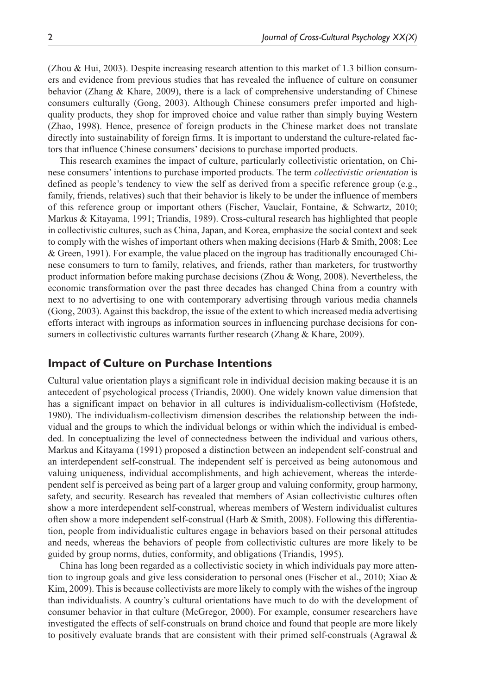(Zhou & Hui, 2003). Despite increasing research attention to this market of 1.3 billion consumers and evidence from previous studies that has revealed the influence of culture on consumer behavior (Zhang & Khare, 2009), there is a lack of comprehensive understanding of Chinese consumers culturally (Gong, 2003). Although Chinese consumers prefer imported and highquality products, they shop for improved choice and value rather than simply buying Western (Zhao, 1998). Hence, presence of foreign products in the Chinese market does not translate directly into sustainability of foreign firms. It is important to understand the culture-related factors that influence Chinese consumers' decisions to purchase imported products.

This research examines the impact of culture, particularly collectivistic orientation, on Chinese consumers' intentions to purchase imported products. The term *collectivistic orientation* is defined as people's tendency to view the self as derived from a specific reference group (e.g., family, friends, relatives) such that their behavior is likely to be under the influence of members of this reference group or important others (Fischer, Vauclair, Fontaine, & Schwartz, 2010; Markus & Kitayama, 1991; Triandis, 1989). Cross-cultural research has highlighted that people in collectivistic cultures, such as China, Japan, and Korea, emphasize the social context and seek to comply with the wishes of important others when making decisions (Harb & Smith, 2008; Lee & Green, 1991). For example, the value placed on the ingroup has traditionally encouraged Chinese consumers to turn to family, relatives, and friends, rather than marketers, for trustworthy product information before making purchase decisions (Zhou & Wong, 2008). Nevertheless, the economic transformation over the past three decades has changed China from a country with next to no advertising to one with contemporary advertising through various media channels (Gong, 2003). Against this backdrop, the issue of the extent to which increased media advertising efforts interact with ingroups as information sources in influencing purchase decisions for consumers in collectivistic cultures warrants further research (Zhang & Khare, 2009).

## **Impact of Culture on Purchase Intentions**

Cultural value orientation plays a significant role in individual decision making because it is an antecedent of psychological process (Triandis, 2000). One widely known value dimension that has a significant impact on behavior in all cultures is individualism-collectivism (Hofstede, 1980). The individualism-collectivism dimension describes the relationship between the individual and the groups to which the individual belongs or within which the individual is embedded. In conceptualizing the level of connectedness between the individual and various others, Markus and Kitayama (1991) proposed a distinction between an independent self-construal and an interdependent self-construal. The independent self is perceived as being autonomous and valuing uniqueness, individual accomplishments, and high achievement, whereas the interdependent self is perceived as being part of a larger group and valuing conformity, group harmony, safety, and security. Research has revealed that members of Asian collectivistic cultures often show a more interdependent self-construal, whereas members of Western individualist cultures often show a more independent self-construal (Harb & Smith, 2008). Following this differentiation, people from individualistic cultures engage in behaviors based on their personal attitudes and needs, whereas the behaviors of people from collectivistic cultures are more likely to be guided by group norms, duties, conformity, and obligations (Triandis, 1995).

China has long been regarded as a collectivistic society in which individuals pay more attention to ingroup goals and give less consideration to personal ones (Fischer et al., 2010; Xiao  $\&$ Kim, 2009). This is because collectivists are more likely to comply with the wishes of the ingroup than individualists. A country's cultural orientations have much to do with the development of consumer behavior in that culture (McGregor, 2000). For example, consumer researchers have investigated the effects of self-construals on brand choice and found that people are more likely to positively evaluate brands that are consistent with their primed self-construals (Agrawal  $\&$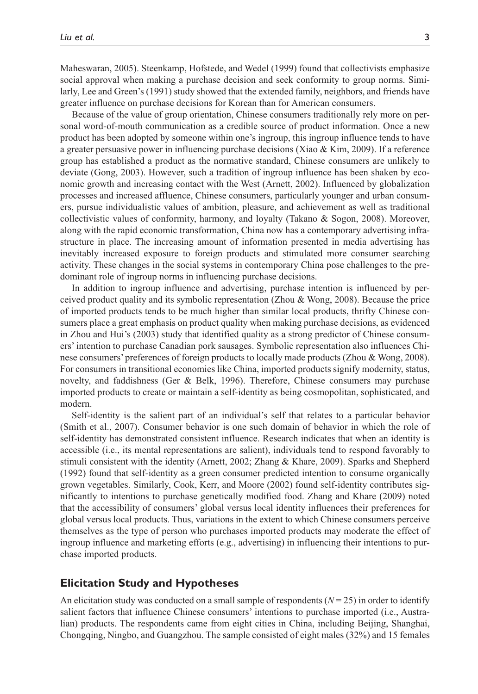Maheswaran, 2005). Steenkamp, Hofstede, and Wedel (1999) found that collectivists emphasize social approval when making a purchase decision and seek conformity to group norms. Similarly, Lee and Green's (1991) study showed that the extended family, neighbors, and friends have greater influence on purchase decisions for Korean than for American consumers.

Because of the value of group orientation, Chinese consumers traditionally rely more on personal word-of-mouth communication as a credible source of product information. Once a new product has been adopted by someone within one's ingroup, this ingroup influence tends to have a greater persuasive power in influencing purchase decisions (Xiao & Kim, 2009). If a reference group has established a product as the normative standard, Chinese consumers are unlikely to deviate (Gong, 2003). However, such a tradition of ingroup influence has been shaken by economic growth and increasing contact with the West (Arnett, 2002). Influenced by globalization processes and increased affluence, Chinese consumers, particularly younger and urban consumers, pursue individualistic values of ambition, pleasure, and achievement as well as traditional collectivistic values of conformity, harmony, and loyalty (Takano & Sogon, 2008). Moreover, along with the rapid economic transformation, China now has a contemporary advertising infrastructure in place. The increasing amount of information presented in media advertising has inevitably increased exposure to foreign products and stimulated more consumer searching activity. These changes in the social systems in contemporary China pose challenges to the predominant role of ingroup norms in influencing purchase decisions.

In addition to ingroup influence and advertising, purchase intention is influenced by perceived product quality and its symbolic representation (Zhou & Wong, 2008). Because the price of imported products tends to be much higher than similar local products, thrifty Chinese consumers place a great emphasis on product quality when making purchase decisions, as evidenced in Zhou and Hui's (2003) study that identified quality as a strong predictor of Chinese consumers' intention to purchase Canadian pork sausages. Symbolic representation also influences Chinese consumers' preferences of foreign products to locally made products (Zhou & Wong, 2008). For consumers in transitional economies like China, imported products signify modernity, status, novelty, and faddishness (Ger & Belk, 1996). Therefore, Chinese consumers may purchase imported products to create or maintain a self-identity as being cosmopolitan, sophisticated, and modern.

Self-identity is the salient part of an individual's self that relates to a particular behavior (Smith et al., 2007). Consumer behavior is one such domain of behavior in which the role of self-identity has demonstrated consistent influence. Research indicates that when an identity is accessible (i.e., its mental representations are salient), individuals tend to respond favorably to stimuli consistent with the identity (Arnett, 2002; Zhang & Khare, 2009). Sparks and Shepherd (1992) found that self-identity as a green consumer predicted intention to consume organically grown vegetables. Similarly, Cook, Kerr, and Moore (2002) found self-identity contributes significantly to intentions to purchase genetically modified food. Zhang and Khare (2009) noted that the accessibility of consumers' global versus local identity influences their preferences for global versus local products. Thus, variations in the extent to which Chinese consumers perceive themselves as the type of person who purchases imported products may moderate the effect of ingroup influence and marketing efforts (e.g., advertising) in influencing their intentions to purchase imported products.

## **Elicitation Study and Hypotheses**

An elicitation study was conducted on a small sample of respondents  $(N = 25)$  in order to identify salient factors that influence Chinese consumers' intentions to purchase imported (i.e., Australian) products. The respondents came from eight cities in China, including Beijing, Shanghai, Chongqing, Ningbo, and Guangzhou. The sample consisted of eight males (32%) and 15 females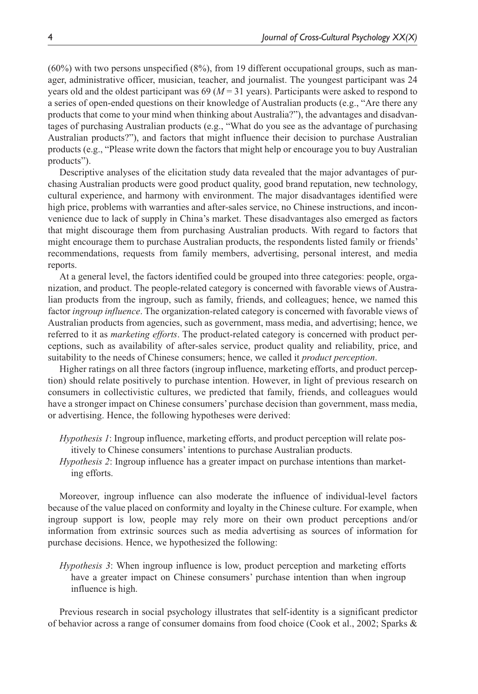$(60\%)$  with two persons unspecified  $(8\%)$ , from 19 different occupational groups, such as manager, administrative officer, musician, teacher, and journalist. The youngest participant was 24 years old and the oldest participant was 69 (*M* = 31 years). Participants were asked to respond to a series of open-ended questions on their knowledge of Australian products (e.g., "Are there any products that come to your mind when thinking about Australia?"), the advantages and disadvantages of purchasing Australian products (e.g., "What do you see as the advantage of purchasing Australian products?"), and factors that might influence their decision to purchase Australian products (e.g., "Please write down the factors that might help or encourage you to buy Australian products").

Descriptive analyses of the elicitation study data revealed that the major advantages of purchasing Australian products were good product quality, good brand reputation, new technology, cultural experience, and harmony with environment. The major disadvantages identified were high price, problems with warranties and after-sales service, no Chinese instructions, and inconvenience due to lack of supply in China's market. These disadvantages also emerged as factors that might discourage them from purchasing Australian products. With regard to factors that might encourage them to purchase Australian products, the respondents listed family or friends' recommendations, requests from family members, advertising, personal interest, and media reports.

At a general level, the factors identified could be grouped into three categories: people, organization, and product. The people-related category is concerned with favorable views of Australian products from the ingroup, such as family, friends, and colleagues; hence, we named this factor *ingroup influence*. The organization-related category is concerned with favorable views of Australian products from agencies, such as government, mass media, and advertising; hence, we referred to it as *marketing efforts*. The product-related category is concerned with product perceptions, such as availability of after-sales service, product quality and reliability, price, and suitability to the needs of Chinese consumers; hence, we called it *product perception*.

Higher ratings on all three factors (ingroup influence, marketing efforts, and product perception) should relate positively to purchase intention. However, in light of previous research on consumers in collectivistic cultures, we predicted that family, friends, and colleagues would have a stronger impact on Chinese consumers' purchase decision than government, mass media, or advertising. Hence, the following hypotheses were derived:

- *Hypothesis 1*: Ingroup influence, marketing efforts, and product perception will relate positively to Chinese consumers' intentions to purchase Australian products.
- *Hypothesis 2*: Ingroup influence has a greater impact on purchase intentions than marketing efforts.

Moreover, ingroup influence can also moderate the influence of individual-level factors because of the value placed on conformity and loyalty in the Chinese culture. For example, when ingroup support is low, people may rely more on their own product perceptions and/or information from extrinsic sources such as media advertising as sources of information for purchase decisions. Hence, we hypothesized the following:

*Hypothesis 3*: When ingroup influence is low, product perception and marketing efforts have a greater impact on Chinese consumers' purchase intention than when ingroup influence is high.

Previous research in social psychology illustrates that self-identity is a significant predictor of behavior across a range of consumer domains from food choice (Cook et al., 2002; Sparks &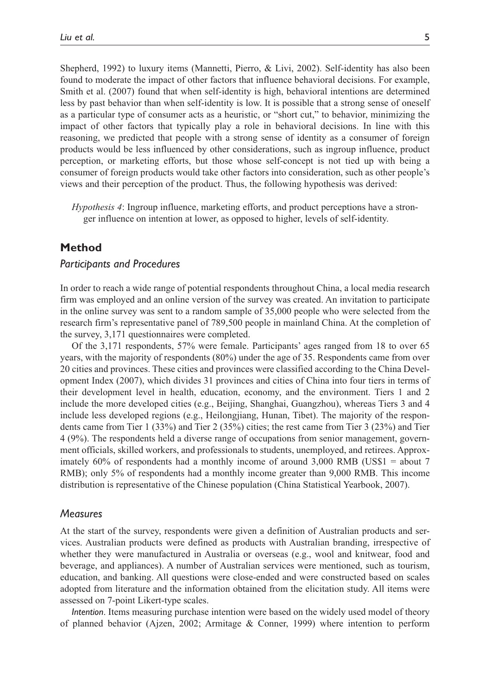Shepherd, 1992) to luxury items (Mannetti, Pierro, & Livi, 2002). Self-identity has also been found to moderate the impact of other factors that influence behavioral decisions. For example, Smith et al. (2007) found that when self-identity is high, behavioral intentions are determined less by past behavior than when self-identity is low. It is possible that a strong sense of oneself as a particular type of consumer acts as a heuristic, or "short cut," to behavior, minimizing the impact of other factors that typically play a role in behavioral decisions. In line with this reasoning, we predicted that people with a strong sense of identity as a consumer of foreign products would be less influenced by other considerations, such as ingroup influence, product perception, or marketing efforts, but those whose self-concept is not tied up with being a consumer of foreign products would take other factors into consideration, such as other people's views and their perception of the product. Thus, the following hypothesis was derived:

*Hypothesis 4*: Ingroup influence, marketing efforts, and product perceptions have a stronger influence on intention at lower, as opposed to higher, levels of self-identity.

## **Method**

#### *Participants and Procedures*

In order to reach a wide range of potential respondents throughout China, a local media research firm was employed and an online version of the survey was created. An invitation to participate in the online survey was sent to a random sample of 35,000 people who were selected from the research firm's representative panel of 789,500 people in mainland China. At the completion of the survey, 3,171 questionnaires were completed.

Of the 3,171 respondents, 57% were female. Participants' ages ranged from 18 to over 65 years, with the majority of respondents (80%) under the age of 35. Respondents came from over 20 cities and provinces. These cities and provinces were classified according to the China Development Index (2007), which divides 31 provinces and cities of China into four tiers in terms of their development level in health, education, economy, and the environment. Tiers 1 and 2 include the more developed cities (e.g., Beijing, Shanghai, Guangzhou), whereas Tiers 3 and 4 include less developed regions (e.g., Heilongjiang, Hunan, Tibet). The majority of the respondents came from Tier 1 (33%) and Tier 2 (35%) cities; the rest came from Tier 3 (23%) and Tier 4 (9%). The respondents held a diverse range of occupations from senior management, government officials, skilled workers, and professionals to students, unemployed, and retirees. Approximately  $60\%$  of respondents had a monthly income of around 3,000 RMB (US\$1 = about 7 RMB); only 5% of respondents had a monthly income greater than 9,000 RMB. This income distribution is representative of the Chinese population (China Statistical Yearbook, 2007).

#### *Measures*

At the start of the survey, respondents were given a definition of Australian products and services. Australian products were defined as products with Australian branding, irrespective of whether they were manufactured in Australia or overseas (e.g., wool and knitwear, food and beverage, and appliances). A number of Australian services were mentioned, such as tourism, education, and banking. All questions were close-ended and were constructed based on scales adopted from literature and the information obtained from the elicitation study. All items were assessed on 7-point Likert-type scales.

*Intention*. Items measuring purchase intention were based on the widely used model of theory of planned behavior (Ajzen, 2002; Armitage & Conner, 1999) where intention to perform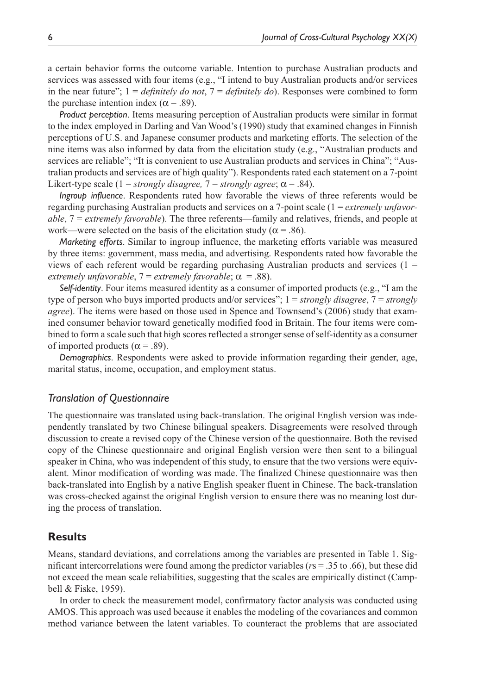a certain behavior forms the outcome variable. Intention to purchase Australian products and services was assessed with four items (e.g., "I intend to buy Australian products and/or services in the near future"; 1 = *definitely do not*, 7 = *definitely do*). Responses were combined to form the purchase intention index ( $\alpha$  = .89).

*Product perception*. Items measuring perception of Australian products were similar in format to the index employed in Darling and Van Wood's (1990) study that examined changes in Finnish perceptions of U.S. and Japanese consumer products and marketing efforts. The selection of the nine items was also informed by data from the elicitation study (e.g., "Australian products and services are reliable"; "It is convenient to use Australian products and services in China"; "Australian products and services are of high quality"). Respondents rated each statement on a 7-point Likert-type scale (1 = *strongly disagree,*  $7 =$  *strongly agree*;  $\alpha = .84$ ).

*Ingroup influence*. Respondents rated how favorable the views of three referents would be regarding purchasing Australian products and services on a 7-point scale (1 = *extremely unfavorable*, 7 = *extremely favorable*). The three referents—family and relatives, friends, and people at work—were selected on the basis of the elicitation study ( $\alpha$  = .86).

*Marketing efforts*. Similar to ingroup influence, the marketing efforts variable was measured by three items: government, mass media, and advertising. Respondents rated how favorable the views of each referent would be regarding purchasing Australian products and services  $(1 =$ *extremely unfavorable*,  $7 =$  *extremely favorable*;  $\alpha = .88$ ).

*Self-identity*. Four items measured identity as a consumer of imported products (e.g., "I am the type of person who buys imported products and/or services"; 1 = *strongly disagree*, 7 = *strongly agree*). The items were based on those used in Spence and Townsend's (2006) study that examined consumer behavior toward genetically modified food in Britain. The four items were combined to form a scale such that high scores reflected a stronger sense of self-identity as a consumer of imported products ( $\alpha$  = .89).

*Demographics*. Respondents were asked to provide information regarding their gender, age, marital status, income, occupation, and employment status.

#### *Translation of Questionnaire*

The questionnaire was translated using back-translation. The original English version was independently translated by two Chinese bilingual speakers. Disagreements were resolved through discussion to create a revised copy of the Chinese version of the questionnaire. Both the revised copy of the Chinese questionnaire and original English version were then sent to a bilingual speaker in China, who was independent of this study, to ensure that the two versions were equivalent. Minor modification of wording was made. The finalized Chinese questionnaire was then back-translated into English by a native English speaker fluent in Chinese. The back-translation was cross-checked against the original English version to ensure there was no meaning lost during the process of translation.

## **Results**

Means, standard deviations, and correlations among the variables are presented in Table 1. Significant intercorrelations were found among the predictor variables (*r*s = .35 to .66), but these did not exceed the mean scale reliabilities, suggesting that the scales are empirically distinct (Campbell & Fiske, 1959).

In order to check the measurement model, confirmatory factor analysis was conducted using AMOS. This approach was used because it enables the modeling of the covariances and common method variance between the latent variables. To counteract the problems that are associated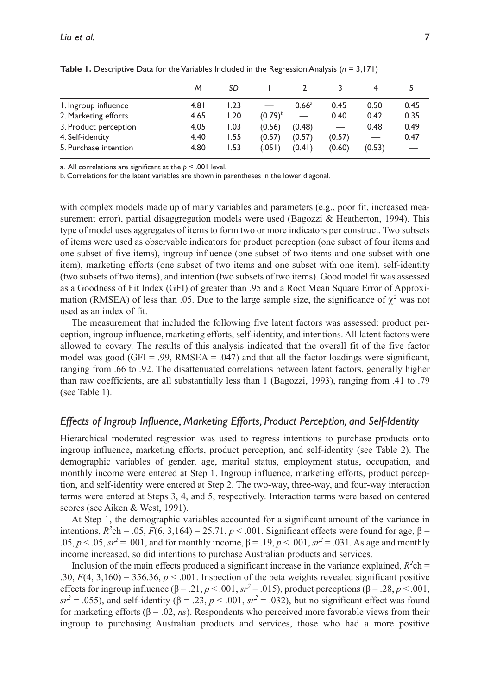|                       | M    | SD   |              |                |        |                          |      |
|-----------------------|------|------|--------------|----------------|--------|--------------------------|------|
| I. Ingroup influence  | 4.81 | 1.23 |              | $0.66^{\rm a}$ | 0.45   | 0.50                     | 0.45 |
| 2. Marketing efforts  | 4.65 | 1.20 | $(0.79)^{b}$ | $\equiv$       | 0.40   | 0.42                     | 0.35 |
| 3. Product perception | 4.05 | 1.03 | (0.56)       | (0.48)         |        | 0.48                     | 0.49 |
| 4. Self-identity      | 4.40 | 1.55 | (0.57)       | (0.57)         | (0.57) | $\overline{\phantom{0}}$ | 0.47 |
| 5. Purchase intention | 4.80 | 1.53 | (.051)       | (0.41)         | (0.60) | (0.53)                   |      |

**Table 1.** Descriptive Data for the Variables Included in the Regression Analysis (*n* = 3,171)

a. All correlations are significant at the *p* < .001 level.

b. Correlations for the latent variables are shown in parentheses in the lower diagonal.

with complex models made up of many variables and parameters (e.g., poor fit, increased measurement error), partial disaggregation models were used (Bagozzi & Heatherton, 1994). This type of model uses aggregates of items to form two or more indicators per construct. Two subsets of items were used as observable indicators for product perception (one subset of four items and one subset of five items), ingroup influence (one subset of two items and one subset with one item), marketing efforts (one subset of two items and one subset with one item), self-identity (two subsets of two items), and intention (two subsets of two items). Good model fit was assessed as a Goodness of Fit Index (GFI) of greater than .95 and a Root Mean Square Error of Approximation (RMSEA) of less than .05. Due to the large sample size, the significance of  $\chi^2$  was not used as an index of fit.

The measurement that included the following five latent factors was assessed: product perception, ingroup influence, marketing efforts, self-identity, and intentions. All latent factors were allowed to covary. The results of this analysis indicated that the overall fit of the five factor model was good (GFI = .99, RMSEA = .047) and that all the factor loadings were significant, ranging from .66 to .92. The disattenuated correlations between latent factors, generally higher than raw coefficients, are all substantially less than 1 (Bagozzi, 1993), ranging from .41 to .79 (see Table 1).

## *Effects of Ingroup Influence, Marketing Efforts, Product Perception, and Self-Identity*

Hierarchical moderated regression was used to regress intentions to purchase products onto ingroup influence, marketing efforts, product perception, and self-identity (see Table 2). The demographic variables of gender, age, marital status, employment status, occupation, and monthly income were entered at Step 1. Ingroup influence, marketing efforts, product perception, and self-identity were entered at Step 2. The two-way, three-way, and four-way interaction terms were entered at Steps 3, 4, and 5, respectively. Interaction terms were based on centered scores (see Aiken & West, 1991).

At Step 1, the demographic variables accounted for a significant amount of the variance in intentions,  $R^2$ ch = .05,  $F(6, 3, 164) = 25.71$ ,  $p < .001$ . Significant effects were found for age,  $β =$ .05, *p* < .05, *sr*<sup>2</sup> = .001, and for monthly income, β = .19, *p* < .001, *sr*<sup>2</sup> = .031. As age and monthly income increased, so did intentions to purchase Australian products and services.

Inclusion of the main effects produced a significant increase in the variance explained,  $R^2$ ch = .30,  $F(4, 3,160) = 356.36$ ,  $p < .001$ . Inspection of the beta weights revealed significant positive effects for ingroup influence  $(\beta = .21, p < .001, sr^2 = .015)$ , product perceptions  $(\beta = .28, p < .001,$  $sr^2 = .055$ ), and self-identity ( $\beta = .23$ ,  $p < .001$ ,  $sr^2 = .032$ ), but no significant effect was found for marketing efforts (β = .02, *ns*). Respondents who perceived more favorable views from their ingroup to purchasing Australian products and services, those who had a more positive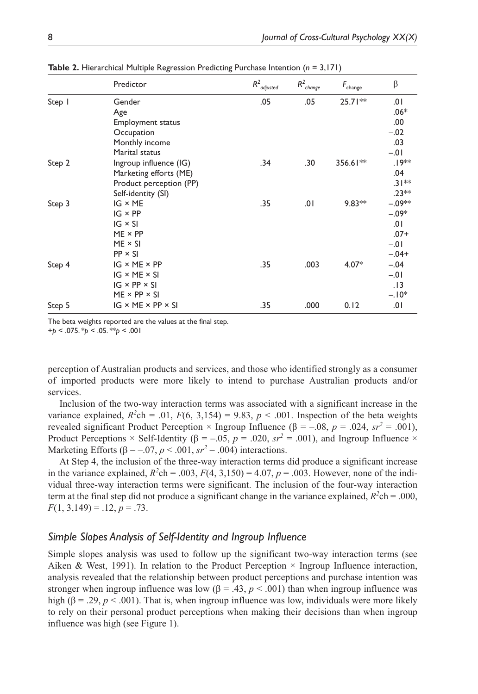|        | Predictor                          | $R^2$ <sub>adjusted</sub> | $R^2$ <sub>change</sub> | $F_{\rm change}$ | $\beta$  |
|--------|------------------------------------|---------------------------|-------------------------|------------------|----------|
| Step I | Gender                             | .05                       | .05                     | $25.71**$        | .01      |
|        | Age                                |                           |                         |                  | $.06*$   |
|        | Employment status                  |                           |                         |                  | .00      |
|        | Occupation                         |                           |                         |                  | $-.02$   |
|        | Monthly income                     |                           |                         |                  | .03      |
|        | Marital status                     |                           |                         |                  | $-.01$   |
| Step 2 | Ingroup influence (IG)             | .34                       | .30                     | 356.61**         | .∣9∗∗    |
|        | Marketing efforts (ME)             |                           |                         |                  | .04      |
|        | Product perception (PP)            |                           |                         |                  | $.31**$  |
|        | Self-identity (SI)                 |                           |                         |                  | $.23**$  |
| Step 3 | $IG \times ME$                     | .35                       | .01                     | $9.83**$         | $-.09**$ |
|        | $IG \times PP$                     |                           |                         |                  | $-.09*$  |
|        | $ G \times S $                     |                           |                         |                  | 10.      |
|        | $ME \times PP$                     |                           |                         |                  | $.07+$   |
|        | $ME \times SI$                     |                           |                         |                  | $-0.01$  |
|        | $PP \times SI$                     |                           |                         |                  | $-.04+$  |
| Step 4 | $IG \times ME \times PP$           | .35                       | .003                    | $4.07*$          | $-.04$   |
|        | $IG \times ME \times SI$           |                           |                         |                  | $-0.01$  |
|        | $IG \times PP \times SI$           |                           |                         |                  | .13      |
|        | $ME \times PP \times SI$           |                           |                         |                  | $-.10*$  |
| Step 5 | $IG \times ME \times PP \times SI$ | .35                       | .000                    | 0.12             | 0١.      |

**Table 2.** Hierarchical Multiple Regression Predicting Purchase Intention (*n* = 3,171)

The beta weights reported are the values at the final step. +*p* < .075. \**p* < .05. \*\**p* < .001

perception of Australian products and services, and those who identified strongly as a consumer of imported products were more likely to intend to purchase Australian products and/or services.

Inclusion of the two-way interaction terms was associated with a significant increase in the variance explained,  $R^2$ ch = .01,  $F(6, 3, 154) = 9.83$ ,  $p < .001$ . Inspection of the beta weights revealed significant Product Perception × Ingroup Influence ( $\beta = -.08$ ,  $p = .024$ ,  $sr^2 = .001$ ), Product Perceptions  $\times$  Self-Identity ( $\beta$  = -.05,  $p$  = .020,  $sr^2$  = .001), and Ingroup Influence  $\times$ Marketing Efforts ( $\beta = -.07, p < .001, sr^2 = .004$ ) interactions.

At Step 4, the inclusion of the three-way interaction terms did produce a significant increase in the variance explained,  $R^2$ ch = .003,  $F(4, 3,150) = 4.07$ ,  $p = .003$ . However, none of the individual three-way interaction terms were significant. The inclusion of the four-way interaction term at the final step did not produce a significant change in the variance explained,  $R^2$ ch = .000,  $F(1, 3, 149) = .12, p = .73.$ 

## *Simple Slopes Analysis of Self-Identity and Ingroup Influence*

Simple slopes analysis was used to follow up the significant two-way interaction terms (see Aiken & West, 1991). In relation to the Product Perception  $\times$  Ingroup Influence interaction, analysis revealed that the relationship between product perceptions and purchase intention was stronger when ingroup influence was low ( $\beta$  = .43,  $p$  < .001) than when ingroup influence was high ( $\beta = .29$ ,  $p < .001$ ). That is, when ingroup influence was low, individuals were more likely to rely on their personal product perceptions when making their decisions than when ingroup influence was high (see Figure 1).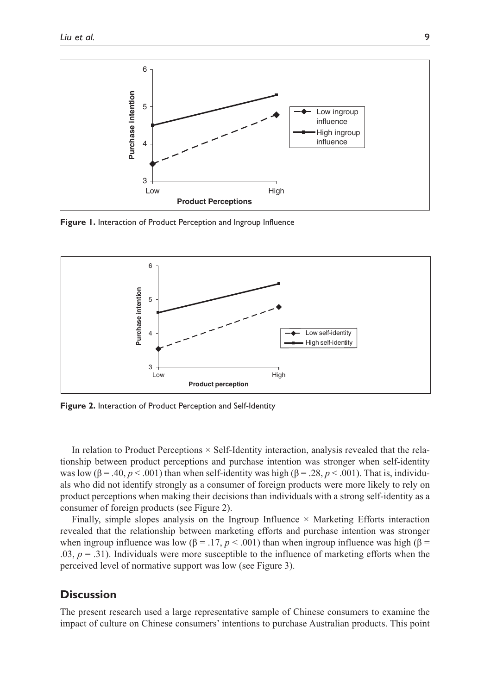

**Figure 1.** Interaction of Product Perception and Ingroup Influence



**Figure 2.** Interaction of Product Perception and Self-Identity

In relation to Product Perceptions  $\times$  Self-Identity interaction, analysis revealed that the relationship between product perceptions and purchase intention was stronger when self-identity was low ( $\beta = .40, p < .001$ ) than when self-identity was high ( $\beta = .28, p < .001$ ). That is, individuals who did not identify strongly as a consumer of foreign products were more likely to rely on product perceptions when making their decisions than individuals with a strong self-identity as a consumer of foreign products (see Figure 2).

Finally, simple slopes analysis on the Ingroup Influence  $\times$  Marketing Efforts interaction revealed that the relationship between marketing efforts and purchase intention was stronger when ingroup influence was low (β = .17,  $p < .001$ ) than when ingroup influence was high (β =  $(0.03, p = .31)$ . Individuals were more susceptible to the influence of marketing efforts when the perceived level of normative support was low (see Figure 3).

## **Discussion**

The present research used a large representative sample of Chinese consumers to examine the impact of culture on Chinese consumers' intentions to purchase Australian products. This point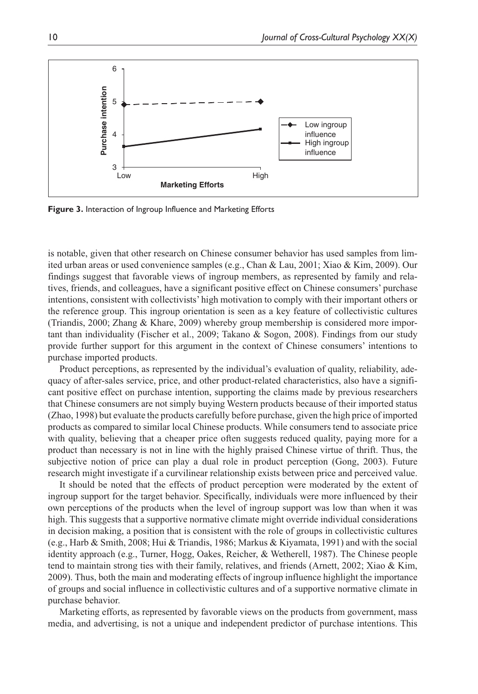

**Figure 3.** Interaction of Ingroup Influence and Marketing Efforts

is notable, given that other research on Chinese consumer behavior has used samples from limited urban areas or used convenience samples (e.g., Chan & Lau, 2001; Xiao & Kim, 2009). Our findings suggest that favorable views of ingroup members, as represented by family and relatives, friends, and colleagues, have a significant positive effect on Chinese consumers' purchase intentions, consistent with collectivists' high motivation to comply with their important others or the reference group. This ingroup orientation is seen as a key feature of collectivistic cultures (Triandis, 2000; Zhang & Khare, 2009) whereby group membership is considered more important than individuality (Fischer et al., 2009; Takano & Sogon, 2008). Findings from our study provide further support for this argument in the context of Chinese consumers' intentions to purchase imported products.

Product perceptions, as represented by the individual's evaluation of quality, reliability, adequacy of after-sales service, price, and other product-related characteristics, also have a significant positive effect on purchase intention, supporting the claims made by previous researchers that Chinese consumers are not simply buying Western products because of their imported status (Zhao, 1998) but evaluate the products carefully before purchase, given the high price of imported products as compared to similar local Chinese products. While consumers tend to associate price with quality, believing that a cheaper price often suggests reduced quality, paying more for a product than necessary is not in line with the highly praised Chinese virtue of thrift. Thus, the subjective notion of price can play a dual role in product perception (Gong, 2003). Future research might investigate if a curvilinear relationship exists between price and perceived value.

It should be noted that the effects of product perception were moderated by the extent of ingroup support for the target behavior. Specifically, individuals were more influenced by their own perceptions of the products when the level of ingroup support was low than when it was high. This suggests that a supportive normative climate might override individual considerations in decision making, a position that is consistent with the role of groups in collectivistic cultures (e.g., Harb & Smith, 2008; Hui & Triandis, 1986; Markus & Kiyamata, 1991) and with the social identity approach (e.g., Turner, Hogg, Oakes, Reicher, & Wetherell, 1987). The Chinese people tend to maintain strong ties with their family, relatives, and friends (Arnett, 2002; Xiao & Kim, 2009). Thus, both the main and moderating effects of ingroup influence highlight the importance of groups and social influence in collectivistic cultures and of a supportive normative climate in purchase behavior.

Marketing efforts, as represented by favorable views on the products from government, mass media, and advertising, is not a unique and independent predictor of purchase intentions. This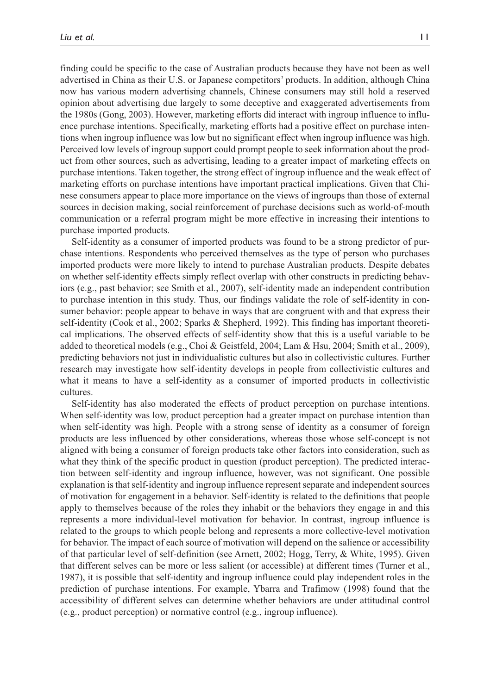finding could be specific to the case of Australian products because they have not been as well advertised in China as their U.S. or Japanese competitors' products. In addition, although China now has various modern advertising channels, Chinese consumers may still hold a reserved opinion about advertising due largely to some deceptive and exaggerated advertisements from the 1980s (Gong, 2003). However, marketing efforts did interact with ingroup influence to influence purchase intentions. Specifically, marketing efforts had a positive effect on purchase intentions when ingroup influence was low but no significant effect when ingroup influence was high. Perceived low levels of ingroup support could prompt people to seek information about the product from other sources, such as advertising, leading to a greater impact of marketing effects on purchase intentions. Taken together, the strong effect of ingroup influence and the weak effect of marketing efforts on purchase intentions have important practical implications. Given that Chinese consumers appear to place more importance on the views of ingroups than those of external sources in decision making, social reinforcement of purchase decisions such as world-of-mouth communication or a referral program might be more effective in increasing their intentions to purchase imported products.

Self-identity as a consumer of imported products was found to be a strong predictor of purchase intentions. Respondents who perceived themselves as the type of person who purchases imported products were more likely to intend to purchase Australian products. Despite debates on whether self-identity effects simply reflect overlap with other constructs in predicting behaviors (e.g., past behavior; see Smith et al., 2007), self-identity made an independent contribution to purchase intention in this study. Thus, our findings validate the role of self-identity in consumer behavior: people appear to behave in ways that are congruent with and that express their self-identity (Cook et al., 2002; Sparks & Shepherd, 1992). This finding has important theoretical implications. The observed effects of self-identity show that this is a useful variable to be added to theoretical models (e.g., Choi & Geistfeld, 2004; Lam & Hsu, 2004; Smith et al., 2009), predicting behaviors not just in individualistic cultures but also in collectivistic cultures. Further research may investigate how self-identity develops in people from collectivistic cultures and what it means to have a self-identity as a consumer of imported products in collectivistic cultures.

Self-identity has also moderated the effects of product perception on purchase intentions. When self-identity was low, product perception had a greater impact on purchase intention than when self-identity was high. People with a strong sense of identity as a consumer of foreign products are less influenced by other considerations, whereas those whose self-concept is not aligned with being a consumer of foreign products take other factors into consideration, such as what they think of the specific product in question (product perception). The predicted interaction between self-identity and ingroup influence, however, was not significant. One possible explanation is that self-identity and ingroup influence represent separate and independent sources of motivation for engagement in a behavior. Self-identity is related to the definitions that people apply to themselves because of the roles they inhabit or the behaviors they engage in and this represents a more individual-level motivation for behavior. In contrast, ingroup influence is related to the groups to which people belong and represents a more collective-level motivation for behavior. The impact of each source of motivation will depend on the salience or accessibility of that particular level of self-definition (see Arnett, 2002; Hogg, Terry, & White, 1995). Given that different selves can be more or less salient (or accessible) at different times (Turner et al., 1987), it is possible that self-identity and ingroup influence could play independent roles in the prediction of purchase intentions. For example, Ybarra and Trafimow (1998) found that the accessibility of different selves can determine whether behaviors are under attitudinal control (e.g., product perception) or normative control (e.g., ingroup influence).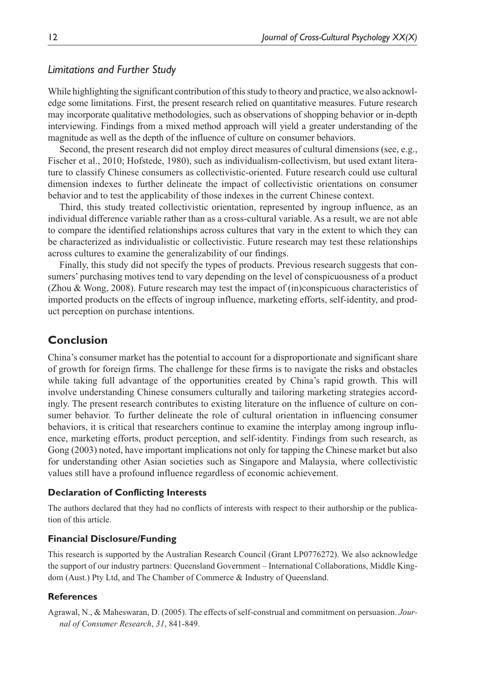#### *Limitations and Further Study*

While highlighting the significant contribution of this study to theory and practice, we also acknowledge some limitations. First, the present research relied on quantitative measures. Future research may incorporate qualitative methodologies, such as observations of shopping behavior or in-depth interviewing. Findings from a mixed method approach will yield a greater understanding of the magnitude as well as the depth of the influence of culture on consumer behaviors.

Second, the present research did not employ direct measures of cultural dimensions (see, e.g., Fischer et al., 2010; Hofstede, 1980), such as individualism-collectivism, but used extant literature to classify Chinese consumers as collectivistic-oriented. Future research could use cultural dimension indexes to further delineate the impact of collectivistic orientations on consumer behavior and to test the applicability of those indexes in the current Chinese context.

Third, this study treated collectivistic orientation, represented by ingroup influence, as an individual difference variable rather than as a cross-cultural variable. As a result, we are not able to compare the identified relationships across cultures that vary in the extent to which they can be characterized as individualistic or collectivistic. Future research may test these relationships across cultures to examine the generalizability of our findings.

Finally, this study did not specify the types of products. Previous research suggests that consumers' purchasing motives tend to vary depending on the level of conspicuousness of a product (Zhou & Wong, 2008). Future research may test the impact of (in)conspicuous characteristics of imported products on the effects of ingroup influence, marketing efforts, self-identity, and product perception on purchase intentions.

## **Conclusion**

China's consumer market has the potential to account for a disproportionate and significant share of growth for foreign firms. The challenge for these firms is to navigate the risks and obstacles while taking full advantage of the opportunities created by China's rapid growth. This will involve understanding Chinese consumers culturally and tailoring marketing strategies accordingly. The present research contributes to existing literature on the influence of culture on consumer behavior. To further delineate the role of cultural orientation in influencing consumer behaviors, it is critical that researchers continue to examine the interplay among ingroup influence, marketing efforts, product perception, and self-identity. Findings from such research, as Gong (2003) noted, have important implications not only for tapping the Chinese market but also for understanding other Asian societies such as Singapore and Malaysia, where collectivistic values still have a profound influence regardless of economic achievement.

#### **Declaration of Conflicting Interests**

The authors declared that they had no conflicts of interests with respect to their authorship or the publication of this article.

#### **Financial Disclosure/Funding**

This research is supported by the Australian Research Council (Grant LP0776272). We also acknowledge the support of our industry partners: Queensland Government – International Collaborations, Middle Kingdom (Aust.) Pty Ltd, and The Chamber of Commerce & Industry of Queensland.

#### **References**

Agrawal, N., & Maheswaran, D. (2005). The effects of self-construal and commitment on persuasion. *Journal of Consumer Research*, *31*, 841-849.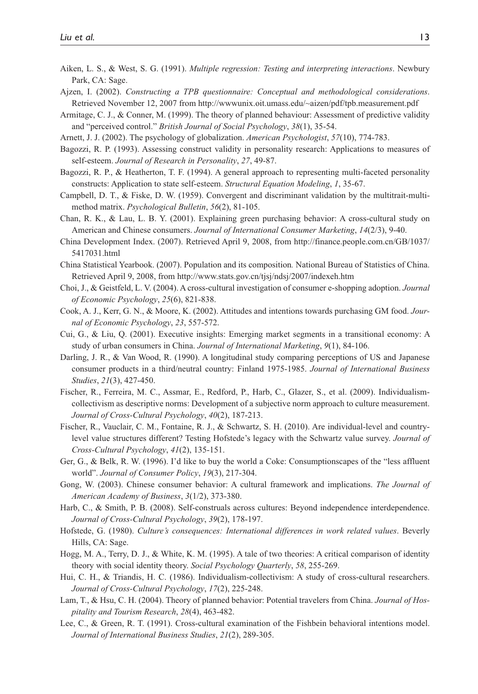- Aiken, L. S., & West, S. G. (1991). *Multiple regression: Testing and interpreting interactions*. Newbury Park, CA: Sage.
- Ajzen, I. (2002). *Constructing a TPB questionnaire: Conceptual and methodological considerations*. Retrieved November 12, 2007 from http://wwwunix.oit.umass.edu/~aizen/pdf/tpb.measurement.pdf
- Armitage, C. J., & Conner, M. (1999). The theory of planned behaviour: Assessment of predictive validity and "perceived control." *British Journal of Social Psychology*, *38*(1), 35-54.
- Arnett, J. J. (2002). The psychology of globalization. *American Psychologist*, *57*(10), 774-783.
- Bagozzi, R. P. (1993). Assessing construct validity in personality research: Applications to measures of self-esteem. *Journal of Research in Personality*, *27*, 49-87.
- Bagozzi, R. P., & Heatherton, T. F. (1994). A general approach to representing multi-faceted personality constructs: Application to state self-esteem. *Structural Equation Modeling*, *1*, 35-67.
- Campbell, D. T., & Fiske, D. W. (1959). Convergent and discriminant validation by the multitrait-multimethod matrix. *Psychological Bulletin*, *56*(2), 81-105.
- Chan, R. K., & Lau, L. B. Y. (2001). Explaining green purchasing behavior: A cross-cultural study on American and Chinese consumers. *Journal of International Consumer Marketing*, *14*(2/3), 9-40.
- China Development Index. (2007). Retrieved April 9, 2008, from http://finance.people.com.cn/GB/1037/ 5417031.html
- China Statistical Yearbook. (2007). Population and its composition*.* National Bureau of Statistics of China. Retrieved April 9, 2008, from http://www.stats.gov.cn/tjsj/ndsj/2007/indexeh.htm
- Choi, J., & Geistfeld, L. V. (2004). A cross-cultural investigation of consumer e-shopping adoption. *Journal of Economic Psychology*, *25*(6), 821-838.
- Cook, A. J., Kerr, G. N., & Moore, K. (2002). Attitudes and intentions towards purchasing GM food. *Journal of Economic Psychology*, *23*, 557-572.
- Cui, G., & Liu, Q. (2001). Executive insights: Emerging market segments in a transitional economy: A study of urban consumers in China. *Journal of International Marketing*, *9*(1), 84-106.
- Darling, J. R., & Van Wood, R. (1990). A longitudinal study comparing perceptions of US and Japanese consumer products in a third/neutral country: Finland 1975-1985. *Journal of International Business Studies*, *21*(3), 427-450.
- Fischer, R., Ferreira, M. C., Assmar, E., Redford, P., Harb, C., Glazer, S., et al. (2009). Individualismcollectivism as descriptive norms: Development of a subjective norm approach to culture measurement. *Journal of Cross-Cultural Psychology*, *40*(2), 187-213.
- Fischer, R., Vauclair, C. M., Fontaine, R. J., & Schwartz, S. H. (2010). Are individual-level and countrylevel value structures different? Testing Hofstede's legacy with the Schwartz value survey. *Journal of Cross-Cultural Psychology*, *41*(2), 135-151.
- Ger, G., & Belk, R. W. (1996). I'd like to buy the world a Coke: Consumptionscapes of the "less affluent world". *Journal of Consumer Policy*, *19*(3), 217-304.
- Gong, W. (2003). Chinese consumer behavior: A cultural framework and implications. *The Journal of American Academy of Business*, *3*(1/2), 373-380.
- Harb, C., & Smith, P. B. (2008). Self-construals across cultures: Beyond independence interdependence. *Journal of Cross-Cultural Psychology*, *39*(2), 178-197.
- Hofstede, G. (1980). *Culture's consequences: International differences in work related values*. Beverly Hills, CA: Sage.
- Hogg, M. A., Terry, D. J., & White, K. M. (1995). A tale of two theories: A critical comparison of identity theory with social identity theory. *Social Psychology Quarterly*, *58*, 255-269.
- Hui, C. H., & Triandis, H. C. (1986). Individualism-collectivism: A study of cross-cultural researchers. *Journal of Cross-Cultural Psychology*, *17*(2), 225-248.
- Lam, T., & Hsu, C. H. (2004). Theory of planned behavior: Potential travelers from China. *Journal of Hospitality and Tourism Research*, *28*(4), 463-482.
- Lee, C., & Green, R. T. (1991). Cross-cultural examination of the Fishbein behavioral intentions model. *Journal of International Business Studies*, *21*(2), 289-305.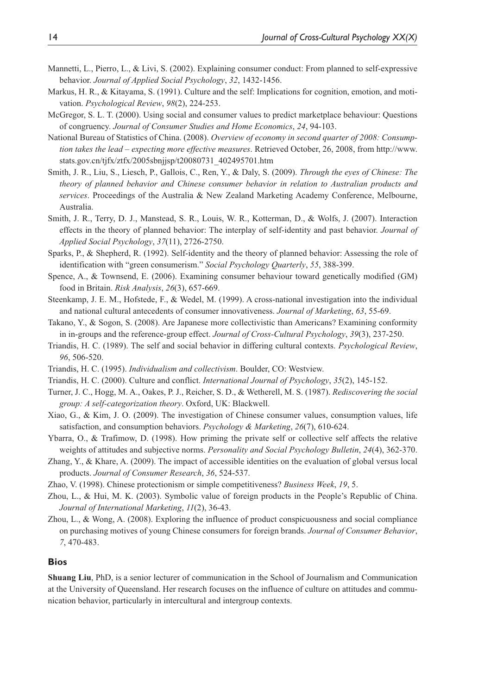- Mannetti, L., Pierro, L., & Livi, S. (2002). Explaining consumer conduct: From planned to self-expressive behavior. *Journal of Applied Social Psychology*, *32*, 1432-1456.
- Markus, H. R., & Kitayama, S. (1991). Culture and the self: Implications for cognition, emotion, and motivation. *Psychological Review*, *98*(2), 224-253.
- McGregor, S. L. T. (2000). Using social and consumer values to predict marketplace behaviour: Questions of congruency. *Journal of Consumer Studies and Home Economics*, *24*, 94-103.
- National Bureau of Statistics of China. (2008). *Overview of economy in second quarter of 2008: Consumption takes the lead – expecting more effective measures*. Retrieved October, 26, 2008, from http://www. stats.gov.cn/tjfx/ztfx/2005sbnjjsp/t20080731\_402495701.htm
- Smith, J. R., Liu, S., Liesch, P., Gallois, C., Ren, Y., & Daly, S. (2009). *Through the eyes of Chinese: The theory of planned behavior and Chinese consumer behavior in relation to Australian products and services*. Proceedings of the Australia & New Zealand Marketing Academy Conference, Melbourne, Australia.
- Smith, J. R., Terry, D. J., Manstead, S. R., Louis, W. R., Kotterman, D., & Wolfs, J. (2007). Interaction effects in the theory of planned behavior: The interplay of self-identity and past behavior. *Journal of Applied Social Psychology*, *37*(11), 2726-2750.
- Sparks, P., & Shepherd, R. (1992). Self-identity and the theory of planned behavior: Assessing the role of identification with "green consumerism." *Social Psychology Quarterly*, *55*, 388-399.
- Spence, A., & Townsend, E. (2006). Examining consumer behaviour toward genetically modified (GM) food in Britain. *Risk Analysis*, *26*(3), 657-669.
- Steenkamp, J. E. M., Hofstede, F., & Wedel, M. (1999). A cross-national investigation into the individual and national cultural antecedents of consumer innovativeness. *Journal of Marketing*, *63*, 55-69.
- Takano, Y., & Sogon, S. (2008). Are Japanese more collectivistic than Americans? Examining conformity in in-groups and the reference-group effect. *Journal of Cross-Cultural Psychology*, *39*(3), 237-250.
- Triandis, H. C. (1989). The self and social behavior in differing cultural contexts. *Psychological Review*, *96*, 506-520.
- Triandis, H. C. (1995). *Individualism and collectivism*. Boulder, CO: Westview.
- Triandis, H. C. (2000). Culture and conflict. *International Journal of Psychology*, *35*(2), 145-152.
- Turner, J. C., Hogg, M. A., Oakes, P. J., Reicher, S. D., & Wetherell, M. S. (1987). *Rediscovering the social group: A self-categorization theory*. Oxford, UK: Blackwell.
- Xiao, G., & Kim, J. O. (2009). The investigation of Chinese consumer values, consumption values, life satisfaction, and consumption behaviors. *Psychology & Marketing*, *26*(7), 610-624.
- Ybarra, O., & Trafimow, D. (1998). How priming the private self or collective self affects the relative weights of attitudes and subjective norms. *Personality and Social Psychology Bulletin*, *24*(4), 362-370.
- Zhang, Y., & Khare, A. (2009). The impact of accessible identities on the evaluation of global versus local products. *Journal of Consumer Research*, *36*, 524-537.
- Zhao, V. (1998). Chinese protectionism or simple competitiveness? *Business Week*, *19*, 5.
- Zhou, L., & Hui, M. K. (2003). Symbolic value of foreign products in the People's Republic of China. *Journal of International Marketing*, *11*(2), 36-43.
- Zhou, L., & Wong, A. (2008). Exploring the influence of product conspicuousness and social compliance on purchasing motives of young Chinese consumers for foreign brands. *Journal of Consumer Behavior*, *7*, 470-483.

#### **Bios**

**Shuang Liu**, PhD, is a senior lecturer of communication in the School of Journalism and Communication at the University of Queensland. Her research focuses on the influence of culture on attitudes and communication behavior, particularly in intercultural and intergroup contexts.